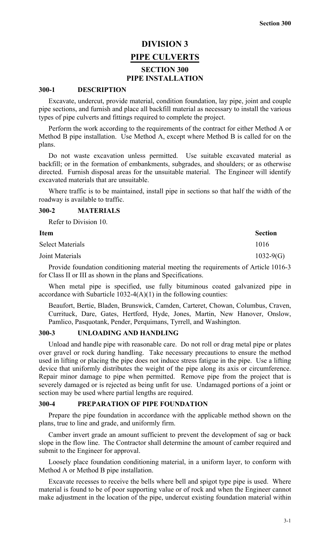# **DIVISION 3 PIPE CULVERTS SECTION 300 PIPE INSTALLATION**

#### **300-1 DESCRIPTION**

Excavate, undercut, provide material, condition foundation, lay pipe, joint and couple pipe sections, and furnish and place all backfill material as necessary to install the various types of pipe culverts and fittings required to complete the project.

Perform the work according to the requirements of the contract for either Method A or Method B pipe installation. Use Method A, except where Method B is called for on the plans.

Do not waste excavation unless permitted. Use suitable excavated material as backfill; or in the formation of embankments, subgrades, and shoulders; or as otherwise directed. Furnish disposal areas for the unsuitable material. The Engineer will identify excavated materials that are unsuitable.

Where traffic is to be maintained, install pipe in sections so that half the width of the roadway is available to traffic.

### **300-2 MATERIALS**

Refer to Division 10. **Item** Section Select Materials 1016 Joint Materials 1032-9(G)

Provide foundation conditioning material meeting the requirements of Article 1016-3 for Class II or III as shown in the plans and Specifications.

When metal pipe is specified, use fully bituminous coated galvanized pipe in accordance with Subarticle  $1032-4(A)(1)$  in the following counties:

Beaufort, Bertie, Bladen, Brunswick, Camden, Carteret, Chowan, Columbus, Craven, Currituck, Dare, Gates, Hertford, Hyde, Jones, Martin, New Hanover, Onslow, Pamlico, Pasquotank, Pender, Perquimans, Tyrrell, and Washington.

### **300-3 UNLOADING AND HANDLING**

Unload and handle pipe with reasonable care. Do not roll or drag metal pipe or plates over gravel or rock during handling. Take necessary precautions to ensure the method used in lifting or placing the pipe does not induce stress fatigue in the pipe. Use a lifting device that uniformly distributes the weight of the pipe along its axis or circumference. Repair minor damage to pipe when permitted. Remove pipe from the project that is severely damaged or is rejected as being unfit for use. Undamaged portions of a joint or section may be used where partial lengths are required.

#### **300-4 PREPARATION OF PIPE FOUNDATION**

Prepare the pipe foundation in accordance with the applicable method shown on the plans, true to line and grade, and uniformly firm.

Camber invert grade an amount sufficient to prevent the development of sag or back slope in the flow line. The Contractor shall determine the amount of camber required and submit to the Engineer for approval.

Loosely place foundation conditioning material, in a uniform layer, to conform with Method A or Method B pipe installation.

Excavate recesses to receive the bells where bell and spigot type pipe is used. Where material is found to be of poor supporting value or of rock and when the Engineer cannot make adjustment in the location of the pipe, undercut existing foundation material within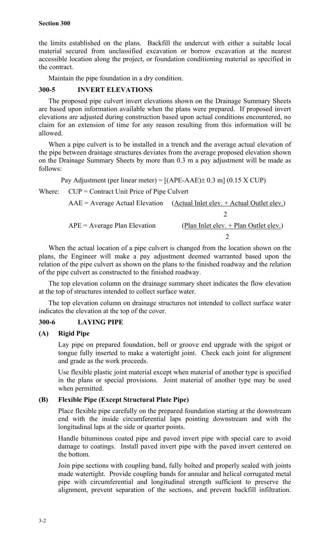the limits established on the plans. Backfill the undercut with either a suitable local material secured from unclassified excavation or borrow excavation at the nearest accessible location along the project, or foundation conditioning material as specified in the contract.

Maintain the pipe foundation in a dry condition.

## **300-5 INVERT ELEVATIONS**

The proposed pipe culvert invert elevations shown on the Drainage Summary Sheets are based upon information available when the plans were prepared. If proposed invert elevations are adjusted during construction based upon actual conditions encountered, no claim for an extension of time for any reason resulting from this information will be allowed.

When a pipe culvert is to be installed in a trench and the average actual elevation of the pipe between drainage structures deviates from the average proposed elevation shown on the Drainage Summary Sheets by more than 0.3 m a pay adjustment will be made as follows:

Pay Adjustment (per linear meter) =  $[(APE-AAE) \pm 0.3 \text{ m}]$  (0.15 X CUP)

Where: CUP = Contract Unit Price of Pipe Culvert

|                                | $AAE =$ Average Actual Elevation (Actual Inlet elev. + Actual Outlet elev.) |
|--------------------------------|-----------------------------------------------------------------------------|
|                                |                                                                             |
| $APE = Average Plan Elevation$ | (Plan Inlet elev. $+$ Plan Outlet elev.)                                    |
|                                |                                                                             |

When the actual location of a pipe culvert is changed from the location shown on the plans, the Engineer will make a pay adjustment deemed warranted based upon the relation of the pipe culvert as shown on the plans to the finished roadway and the relation of the pipe culvert as constructed to the finished roadway.

The top elevation column on the drainage summary sheet indicates the flow elevation at the top of structures intended to collect surface water.

The top elevation column on drainage structures not intended to collect surface water indicates the elevation at the top of the cover.

## **300-6 LAYING PIPE**

## **(A) Rigid Pipe**

Lay pipe on prepared foundation, bell or groove end upgrade with the spigot or tongue fully inserted to make a watertight joint. Check each joint for alignment and grade as the work proceeds.

Use flexible plastic joint material except when material of another type is specified in the plans or special provisions. Joint material of another type may be used when permitted.

## **(B) Flexible Pipe (Except Structural Plate Pipe)**

Place flexible pipe carefully on the prepared foundation starting at the downstream end with the inside circumferential laps pointing downstream and with the longitudinal laps at the side or quarter points.

Handle bituminous coated pipe and paved invert pipe with special care to avoid damage to coatings. Install paved invert pipe with the paved invert centered on the bottom.

Join pipe sections with coupling band, fully bolted and properly sealed with joints made watertight. Provide coupling bands for annular and helical corrugated metal pipe with circumferential and longitudinal strength sufficient to preserve the alignment, prevent separation of the sections, and prevent backfill infiltration.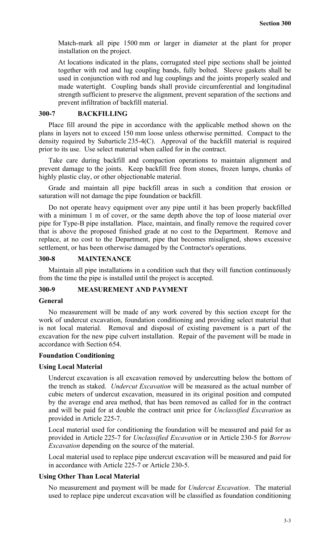Match-mark all pipe 1500 mm or larger in diameter at the plant for proper installation on the project.

At locations indicated in the plans, corrugated steel pipe sections shall be jointed together with rod and lug coupling bands, fully bolted. Sleeve gaskets shall be used in conjunction with rod and lug couplings and the joints properly sealed and made watertight. Coupling bands shall provide circumferential and longitudinal strength sufficient to preserve the alignment, prevent separation of the sections and prevent infiltration of backfill material.

## **300-7 BACKFILLING**

Place fill around the pipe in accordance with the applicable method shown on the plans in layers not to exceed 150 mm loose unless otherwise permitted. Compact to the density required by Subarticle 235-4(C). Approval of the backfill material is required prior to its use. Use select material when called for in the contract.

Take care during backfill and compaction operations to maintain alignment and prevent damage to the joints. Keep backfill free from stones, frozen lumps, chunks of highly plastic clay, or other objectionable material.

Grade and maintain all pipe backfill areas in such a condition that erosion or saturation will not damage the pipe foundation or backfill.

Do not operate heavy equipment over any pipe until it has been properly backfilled with a minimum 1 m of cover, or the same depth above the top of loose material over pipe for Type-B pipe installation. Place, maintain, and finally remove the required cover that is above the proposed finished grade at no cost to the Department. Remove and replace, at no cost to the Department, pipe that becomes misaligned, shows excessive settlement, or has been otherwise damaged by the Contractor's operations.

## **300-8 MAINTENANCE**

Maintain all pipe installations in a condition such that they will function continuously from the time the pipe is installed until the project is accepted.

## **300-9 MEASUREMENT AND PAYMENT**

#### **General**

No measurement will be made of any work covered by this section except for the work of undercut excavation, foundation conditioning and providing select material that is not local material. Removal and disposal of existing pavement is a part of the excavation for the new pipe culvert installation. Repair of the pavement will be made in accordance with Section 654.

#### **Foundation Conditioning**

#### **Using Local Material**

Undercut excavation is all excavation removed by undercutting below the bottom of the trench as staked. *Undercut Excavation* will be measured as the actual number of cubic meters of undercut excavation, measured in its original position and computed by the average end area method, that has been removed as called for in the contract and will be paid for at double the contract unit price for *Unclassified Excavation* as provided in Article 225-7.

Local material used for conditioning the foundation will be measured and paid for as provided in Article 225-7 for *Unclassified Excavation* or in Article 230-5 for *Borrow Excavation* depending on the source of the material.

Local material used to replace pipe undercut excavation will be measured and paid for in accordance with Article 225-7 or Article 230-5.

#### **Using Other Than Local Material**

No measurement and payment will be made for *Undercut Excavation*. The material used to replace pipe undercut excavation will be classified as foundation conditioning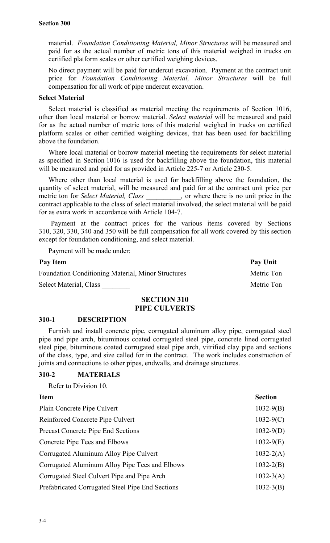material. *Foundation Conditioning Material, Minor Structures* will be measured and paid for as the actual number of metric tons of this material weighed in trucks on certified platform scales or other certified weighing devices.

No direct payment will be paid for undercut excavation. Payment at the contract unit price for *Foundation Conditioning Material, Minor Structures* will be full compensation for all work of pipe undercut excavation.

#### **Select Material**

Select material is classified as material meeting the requirements of Section 1016, other than local material or borrow material. *Select material* will be measured and paid for as the actual number of metric tons of this material weighed in trucks on certified platform scales or other certified weighing devices, that has been used for backfilling above the foundation.

Where local material or borrow material meeting the requirements for select material as specified in Section 1016 is used for backfilling above the foundation, this material will be measured and paid for as provided in Article 225-7 or Article 230-5.

Where other than local material is used for backfilling above the foundation, the quantity of select material, will be measured and paid for at the contract unit price per metric ton for *Select Material, Class* , or where there is no unit price in the contract applicable to the class of select material involved, the select material will be paid for as extra work in accordance with Article 104-7.

Payment at the contract prices for the various items covered by Sections 310, 320, 330, 340 and 350 will be full compensation for all work covered by this section except for foundation conditioning, and select material.

Payment will be made under:

| Pay Item                                                  | Pay Unit   |
|-----------------------------------------------------------|------------|
| <b>Foundation Conditioning Material, Minor Structures</b> | Metric Ton |
| Select Material, Class                                    | Metric Ton |

## **SECTION 310 PIPE CULVERTS**

#### **310-1 DESCRIPTION**

Furnish and install concrete pipe, corrugated aluminum alloy pipe, corrugated steel pipe and pipe arch, bituminous coated corrugated steel pipe, concrete lined corrugated steel pipe, bituminous coated corrugated steel pipe arch, vitrified clay pipe and sections of the class, type, and size called for in the contract. The work includes construction of joints and connections to other pipes, endwalls, and drainage structures.

## **310-2 MATERIALS**

Refer to Division 10.

| <b>Item</b>                                      | <b>Section</b> |
|--------------------------------------------------|----------------|
| Plain Concrete Pipe Culvert                      | $1032-9(B)$    |
| Reinforced Concrete Pipe Culvert                 | $1032-9(C)$    |
| <b>Precast Concrete Pipe End Sections</b>        | $1032-9(D)$    |
| Concrete Pipe Tees and Elbows                    | $1032-9(E)$    |
| Corrugated Aluminum Alloy Pipe Culvert           | $1032 - 2(A)$  |
| Corrugated Aluminum Alloy Pipe Tees and Elbows   | $1032 - 2(B)$  |
| Corrugated Steel Culvert Pipe and Pipe Arch      | $1032 - 3(A)$  |
| Prefabricated Corrugated Steel Pipe End Sections | $1032 - 3(B)$  |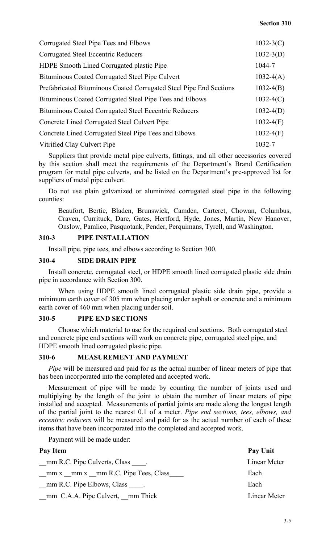| Corrugated Steel Pipe Tees and Elbows                              | $1032-3(C)$ |
|--------------------------------------------------------------------|-------------|
| <b>Corrugated Steel Eccentric Reducers</b>                         | $1032-3(D)$ |
| <b>HDPE Smooth Lined Corrugated plastic Pipe</b>                   | 1044-7      |
| Bituminous Coated Corrugated Steel Pipe Culvert                    | $1032-4(A)$ |
| Prefabricated Bituminous Coated Corrugated Steel Pipe End Sections | $1032-4(B)$ |
| Bituminous Coated Corrugated Steel Pipe Tees and Elbows            | $1032-4(C)$ |
| <b>Bituminous Coated Corrugated Steel Eccentric Reducers</b>       | $1032-4(D)$ |
| Concrete Lined Corrugated Steel Culvert Pipe                       | $1032-4(F)$ |
| Concrete Lined Corrugated Steel Pipe Tees and Elbows               | $1032-4(F)$ |
| Vitrified Clay Culvert Pipe                                        | 1032-7      |

Suppliers that provide metal pipe culverts, fittings, and all other accessories covered by this section shall meet the requirements of the Department's Brand Certification program for metal pipe culverts, and be listed on the Department's pre-approved list for suppliers of metal pipe culvert.

Do not use plain galvanized or aluminized corrugated steel pipe in the following counties:

Beaufort, Bertie, Bladen, Brunswick, Camden, Carteret, Chowan, Columbus, Craven, Currituck, Dare, Gates, Hertford, Hyde, Jones, Martin, New Hanover, Onslow, Pamlico, Pasquotank, Pender, Perquimans, Tyrell, and Washington.

## **310-3 PIPE INSTALLATION**

Install pipe, pipe tees, and elbows according to Section 300.

### **310-4 SIDE DRAIN PIPE**

Install concrete, corrugated steel, or HDPE smooth lined corrugated plastic side drain pipe in accordance with Section 300.

When using HDPE smooth lined corrugated plastic side drain pipe, provide a minimum earth cover of 305 mm when placing under asphalt or concrete and a minimum earth cover of 460 mm when placing under soil.

#### **310-5 PIPE END SECTIONS**

Choose which material to use for the required end sections. Both corrugated steel and concrete pipe end sections will work on concrete pipe, corrugated steel pipe, and HDPE smooth lined corrugated plastic pipe.

## **310-6 MEASUREMENT AND PAYMENT**

*Pipe* will be measured and paid for as the actual number of linear meters of pipe that has been incorporated into the completed and accepted work.

Measurement of pipe will be made by counting the number of joints used and multiplying by the length of the joint to obtain the number of linear meters of pipe installed and accepted. Measurements of partial joints are made along the longest length of the partial joint to the nearest 0.1 of a meter. *Pipe end sections, tees, elbows, and eccentric reducers* will be measured and paid for as the actual number of each of these items that have been incorporated into the completed and accepted work.

Payment will be made under:

| Pay Item                             | Pay Unit     |
|--------------------------------------|--------------|
| mm R.C. Pipe Culverts, Class         | Linear Meter |
| $mm x$ mm x mm R.C. Pipe Tees, Class | Each         |
| mm R.C. Pipe Elbows, Class           | Each         |
| mm C.A.A. Pipe Culvert, mm Thick     | Linear Meter |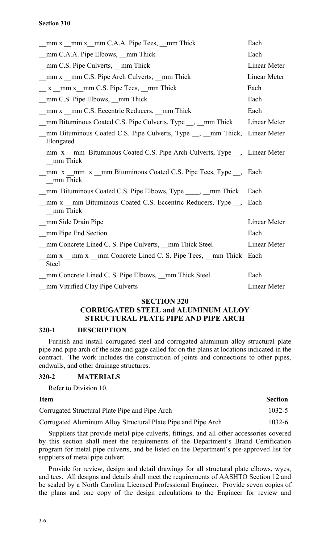| mm x mm x mm C.A.A. Pipe Tees, mm Thick                                                             | Each                |
|-----------------------------------------------------------------------------------------------------|---------------------|
| mm C.A.A. Pipe Elbows, mm Thick                                                                     | Each                |
| mm C.S. Pipe Culverts, <u>mm</u> Thick                                                              | Linear Meter        |
| mm x mm C.S. Pipe Arch Culverts, mm Thick                                                           | <b>Linear Meter</b> |
| x mm x mm C.S. Pipe Tees, mm Thick                                                                  | Each                |
| mm C.S. Pipe Elbows, mm Thick                                                                       | Each                |
| mm x mm C.S. Eccentric Reducers, mm Thick                                                           | Each                |
| mm Bituminous Coated C.S. Pipe Culverts, Type __, __mm Thick                                        | Linear Meter        |
| mm Bituminous Coated C.S. Pipe Culverts, Type <sub>__</sub> , __mm Thick, Linear Meter<br>Elongated |                     |
| mm x mm Bituminous Coated C.S. Pipe Arch Culverts, Type , Linear Meter<br>mm Thick                  |                     |
| mm x mm x mm Bituminous Coated C.S. Pipe Tees, Type, Each<br>mm Thick                               |                     |
| mm Bituminous Coated C.S. Pipe Elbows, Type _____, __mm Thick                                       | Each                |
| mm x mm Bituminous Coated C.S. Eccentric Reducers, Type,<br>mm Thick                                | Each                |
| mm Side Drain Pipe                                                                                  | Linear Meter        |
| mm Pipe End Section                                                                                 | Each                |
| mm Concrete Lined C. S. Pipe Culverts, mm Thick Steel                                               | Linear Meter        |
| mm x _mm x _mm Concrete Lined C. S. Pipe Tees, _mm Thick Each<br><b>Steel</b>                       |                     |
| mm Concrete Lined C. S. Pipe Elbows, mm Thick Steel                                                 | Each                |
| mm Vitrified Clay Pipe Culverts                                                                     | Linear Meter        |

#### **SECTION 320**

## **CORRUGATED STEEL and ALUMINUM ALLOY STRUCTURAL PLATE PIPE AND PIPE ARCH**

#### **320-1 DESCRIPTION**

Furnish and install corrugated steel and corrugated aluminum alloy structural plate pipe and pipe arch of the size and gage called for on the plans at locations indicated in the contract. The work includes the construction of joints and connections to other pipes, endwalls, and other drainage structures.

## **320-2 MATERIALS**

Refer to Division 10.

| <b>Item</b>                                                   | <b>Section</b> |
|---------------------------------------------------------------|----------------|
| Corrugated Structural Plate Pipe and Pipe Arch                | $1032 - 5$     |
| Corrugated Aluminum Alloy Structural Plate Pipe and Pipe Arch | $1032 - 6$     |

Suppliers that provide metal pipe culverts, fittings, and all other accessories covered by this section shall meet the requirements of the Department's Brand Certification program for metal pipe culverts, and be listed on the Department's pre-approved list for suppliers of metal pipe culvert.

Provide for review, design and detail drawings for all structural plate elbows, wyes, and tees. All designs and details shall meet the requirements of AASHTO Section 12 and be sealed by a North Carolina Licensed Professional Engineer. Provide seven copies of the plans and one copy of the design calculations to the Engineer for review and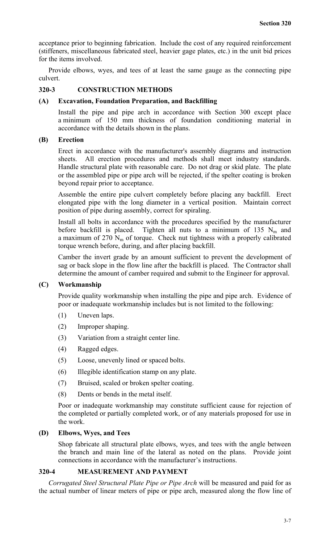acceptance prior to beginning fabrication. Include the cost of any required reinforcement (stiffeners, miscellaneous fabricated steel, heavier gage plates, etc.) in the unit bid prices for the items involved.

Provide elbows, wyes, and tees of at least the same gauge as the connecting pipe culvert.

## **320-3 CONSTRUCTION METHODS**

#### **(A) Excavation, Foundation Preparation, and Backfilling**

Install the pipe and pipe arch in accordance with Section 300 except place a minimum of 150 mm thickness of foundation conditioning material in accordance with the details shown in the plans.

### **(B) Erection**

Erect in accordance with the manufacturer's assembly diagrams and instruction sheets. All erection procedures and methods shall meet industry standards. Handle structural plate with reasonable care. Do not drag or skid plate. The plate or the assembled pipe or pipe arch will be rejected, if the spelter coating is broken beyond repair prior to acceptance.

Assemble the entire pipe culvert completely before placing any backfill. Erect elongated pipe with the long diameter in a vertical position. Maintain correct position of pipe during assembly, correct for spiraling.

Install all bolts in accordance with the procedures specified by the manufacturer before backfill is placed. Tighten all nuts to a minimum of 135  $N_m$  and a maximum of  $270 \text{ N}_{\text{m}}$  of torque. Check nut tightness with a properly calibrated torque wrench before, during, and after placing backfill.

Camber the invert grade by an amount sufficient to prevent the development of sag or back slope in the flow line after the backfill is placed. The Contractor shall determine the amount of camber required and submit to the Engineer for approval.

## **(C) Workmanship**

Provide quality workmanship when installing the pipe and pipe arch. Evidence of poor or inadequate workmanship includes but is not limited to the following:

- (1) Uneven laps.
- (2) Improper shaping.
- (3) Variation from a straight center line.
- (4) Ragged edges.
- (5) Loose, unevenly lined or spaced bolts.
- (6) Illegible identification stamp on any plate.
- (7) Bruised, scaled or broken spelter coating.
- (8) Dents or bends in the metal itself.

Poor or inadequate workmanship may constitute sufficient cause for rejection of the completed or partially completed work, or of any materials proposed for use in the work.

### **(D) Elbows, Wyes, and Tees**

Shop fabricate all structural plate elbows, wyes, and tees with the angle between the branch and main line of the lateral as noted on the plans. Provide joint connections in accordance with the manufacturer's instructions.

## **320-4 MEASUREMENT AND PAYMENT**

*Corrugated Steel Structural Plate Pipe or Pipe Arch* will be measured and paid for as the actual number of linear meters of pipe or pipe arch, measured along the flow line of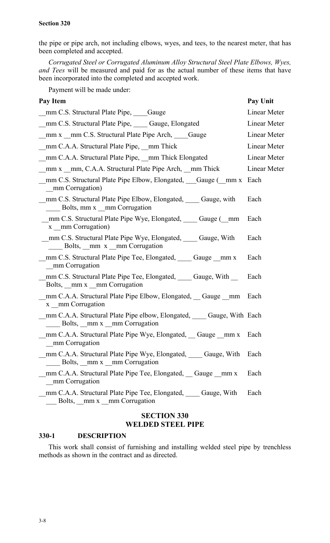the pipe or pipe arch, not including elbows, wyes, and tees, to the nearest meter, that has been completed and accepted.

*Corrugated Steel or Corrugated Aluminum Alloy Structural Steel Plate Elbows, Wyes, and Tees* will be measured and paid for as the actual number of these items that have been incorporated into the completed and accepted work.

Payment will be made under:

| <b>Pay Item</b>                                                                                                                   | Pay Unit     |
|-----------------------------------------------------------------------------------------------------------------------------------|--------------|
| mm C.S. Structural Plate Pipe, Gauge                                                                                              | Linear Meter |
| _mm C.S. Structural Plate Pipe, _____ Gauge, Elongated                                                                            | Linear Meter |
| mm x mm C.S. Structural Plate Pipe Arch, Gauge                                                                                    | Linear Meter |
| mm C.A.A. Structural Plate Pipe, __mm Thick                                                                                       | Linear Meter |
| _mm C.A.A. Structural Plate Pipe, __mm Thick Elongated                                                                            | Linear Meter |
| mm x mm, C.A.A. Structural Plate Pipe Arch, mm Thick                                                                              | Linear Meter |
| mm C.S. Structural Plate Pipe Elbow, Elongated, Gauge (mm x Each<br>mm Corrugation)                                               |              |
| mm C.S. Structural Plate Pipe Elbow, Elongated, Gauge, with<br>Bolts, mm x mm Corrugation                                         | Each         |
| mm C.S. Structural Plate Pipe Wye, Elongated, Cauge (mm<br>x mm Corrugation)                                                      | Each         |
| mm C.S. Structural Plate Pipe Wye, Elongated, Cauge, With<br>$\frac{1}{2}$ Bolts, $\frac{1}{2}$ mm x $\frac{1}{2}$ mm Corrugation | Each         |
| mm C.S. Structural Plate Pipe Tee, Elongated, Gauge mm x<br>_mm Corrugation                                                       | Each         |
| mm C.S. Structural Plate Pipe Tee, Elongated, Cauge, With<br>Bolts, <u>mm</u> x mm Corrugation                                    | Each         |
| mm C.A.A. Structural Plate Pipe Elbow, Elongated, Gauge mm Each<br>x mm Corrugation                                               |              |
| mm C.A.A. Structural Plate Pipe elbow, Elongated, Gauge, With Each<br>Bolts, mm x mm Corrugation                                  |              |
| mm C.A.A. Structural Plate Pipe Wye, Elongated, Gauge mm x Each<br>mm Corrugation                                                 |              |
| mm C.A.A. Structural Plate Pipe Wye, Elongated, Gauge, With<br>Bolts, mm x mm Corrugation                                         | Each         |
| mm C.A.A. Structural Plate Pipe Tee, Elongated, Gauge mm x<br>mm Corrugation                                                      | Each         |
| mm C.A.A. Structural Plate Pipe Tee, Elongated, Gauge, With<br>Bolts, mm x mm Corrugation                                         | Each         |
|                                                                                                                                   |              |

## **SECTION 330 WELDED STEEL PIPE**

## **330-1 DESCRIPTION**

This work shall consist of furnishing and installing welded steel pipe by trenchless methods as shown in the contract and as directed.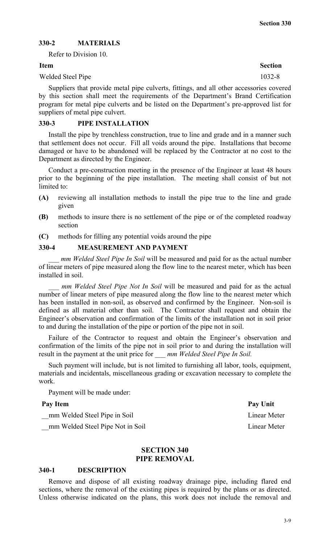## **330-2 MATERIALS**

Refer to Division 10.

#### Welded Steel Pipe 1032-8

Suppliers that provide metal pipe culverts, fittings, and all other accessories covered by this section shall meet the requirements of the Department's Brand Certification program for metal pipe culverts and be listed on the Department's pre-approved list for suppliers of metal pipe culvert.

#### **330-3 PIPE INSTALLATION**

Install the pipe by trenchless construction, true to line and grade and in a manner such that settlement does not occur. Fill all voids around the pipe. Installations that become damaged or have to be abandoned will be replaced by the Contractor at no cost to the Department as directed by the Engineer.

Conduct a pre-construction meeting in the presence of the Engineer at least 48 hours prior to the beginning of the pipe installation. The meeting shall consist of but not limited to:

- **(A)** reviewing all installation methods to install the pipe true to the line and grade given
- **(B)** methods to insure there is no settlement of the pipe or of the completed roadway section
- **(C)** methods for filling any potential voids around the pipe

## **330-4 MEASUREMENT AND PAYMENT**

*mm Welded Steel Pipe In Soil* will be measured and paid for as the actual number of linear meters of pipe measured along the flow line to the nearest meter, which has been installed in soil.

*mm Welded Steel Pipe Not In Soil* will be measured and paid for as the actual number of linear meters of pipe measured along the flow line to the nearest meter which has been installed in non-soil, as observed and confirmed by the Engineer. Non-soil is defined as all material other than soil. The Contractor shall request and obtain the Engineer's observation and confirmation of the limits of the installation not in soil prior to and during the installation of the pipe or portion of the pipe not in soil.

Failure of the Contractor to request and obtain the Engineer's observation and confirmation of the limits of the pipe not in soil prior to and during the installation will result in the payment at the unit price for *\_\_\_ mm Welded Steel Pipe In Soil.*

Such payment will include, but is not limited to furnishing all labor, tools, equipment, materials and incidentals, miscellaneous grading or excavation necessary to complete the work.

Payment will be made under:

#### Pay Item Pay Unit

num Welded Steel Pipe in Soil Linear Meter

mm Welded Steel Pipe Not in Soil Linear Meter

## **SECTION 340 PIPE REMOVAL**

#### **340-1 DESCRIPTION**

Remove and dispose of all existing roadway drainage pipe, including flared end sections, where the removal of the existing pipes is required by the plans or as directed. Unless otherwise indicated on the plans, this work does not include the removal and

**Item** Section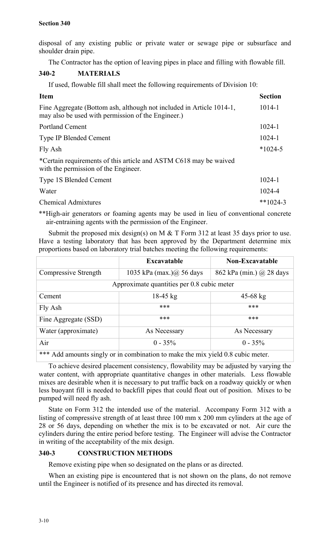disposal of any existing public or private water or sewage pipe or subsurface and shoulder drain pipe.

The Contractor has the option of leaving pipes in place and filling with flowable fill.

## **340-2 MATERIALS**

If used, flowable fill shall meet the following requirements of Division 10:

| <b>Item</b>                                                                                                                | <b>Section</b> |
|----------------------------------------------------------------------------------------------------------------------------|----------------|
| Fine Aggregate (Bottom ash, although not included in Article 1014-1,<br>may also be used with permission of the Engineer.) | 1014-1         |
| <b>Portland Cement</b>                                                                                                     | $1024 - 1$     |
| <b>Type IP Blended Cement</b>                                                                                              | $1024 - 1$     |
| Fly Ash                                                                                                                    | $*1024-5$      |
| *Certain requirements of this article and ASTM C618 may be waived<br>with the permission of the Engineer.                  |                |
| <b>Type 1S Blended Cement</b>                                                                                              | $1024 - 1$     |
| Water                                                                                                                      | 1024-4         |
| <b>Chemical Admixtures</b>                                                                                                 | $**1024-3$     |

\*\*High-air generators or foaming agents may be used in lieu of conventional concrete air-entraining agents with the permission of the Engineer.

Submit the proposed mix design(s) on M  $&$  T Form 312 at least 35 days prior to use. Have a testing laboratory that has been approved by the Department determine mix proportions based on laboratory trial batches meeting the following requirements:

|                                            | <b>Excavatable</b>               | <b>Non-Excavatable</b>   |
|--------------------------------------------|----------------------------------|--------------------------|
| Compressive Strength                       | 1035 kPa (max.) $\omega$ 56 days | 862 kPa (min.) @ 28 days |
| Approximate quantities per 0.8 cubic meter |                                  |                          |
| Cement                                     | $18-45$ kg                       | $45 - 68$ kg             |
| Fly Ash                                    | ***                              | ***                      |
| Fine Aggregate (SSD)                       | ***                              | ***                      |
| Water (approximate)                        | As Necessary                     | As Necessary             |
| Air                                        | $0 - 35\%$                       | $0 - 35\%$               |

\*\*\* Add amounts singly or in combination to make the mix yield 0.8 cubic meter.

To achieve desired placement consistency, flowability may be adjusted by varying the water content, with appropriate quantitative changes in other materials. Less flowable mixes are desirable when it is necessary to put traffic back on a roadway quickly or when less buoyant fill is needed to backfill pipes that could float out of position. Mixes to be pumped will need fly ash.

State on Form 312 the intended use of the material. Accompany Form 312 with a listing of compressive strength of at least three 100 mm x 200 mm cylinders at the age of 28 or 56 days, depending on whether the mix is to be excavated or not. Air cure the cylinders during the entire period before testing. The Engineer will advise the Contractor in writing of the acceptability of the mix design.

## **340-3 CONSTRUCTION METHODS**

Remove existing pipe when so designated on the plans or as directed.

When an existing pipe is encountered that is not shown on the plans, do not remove until the Engineer is notified of its presence and has directed its removal.